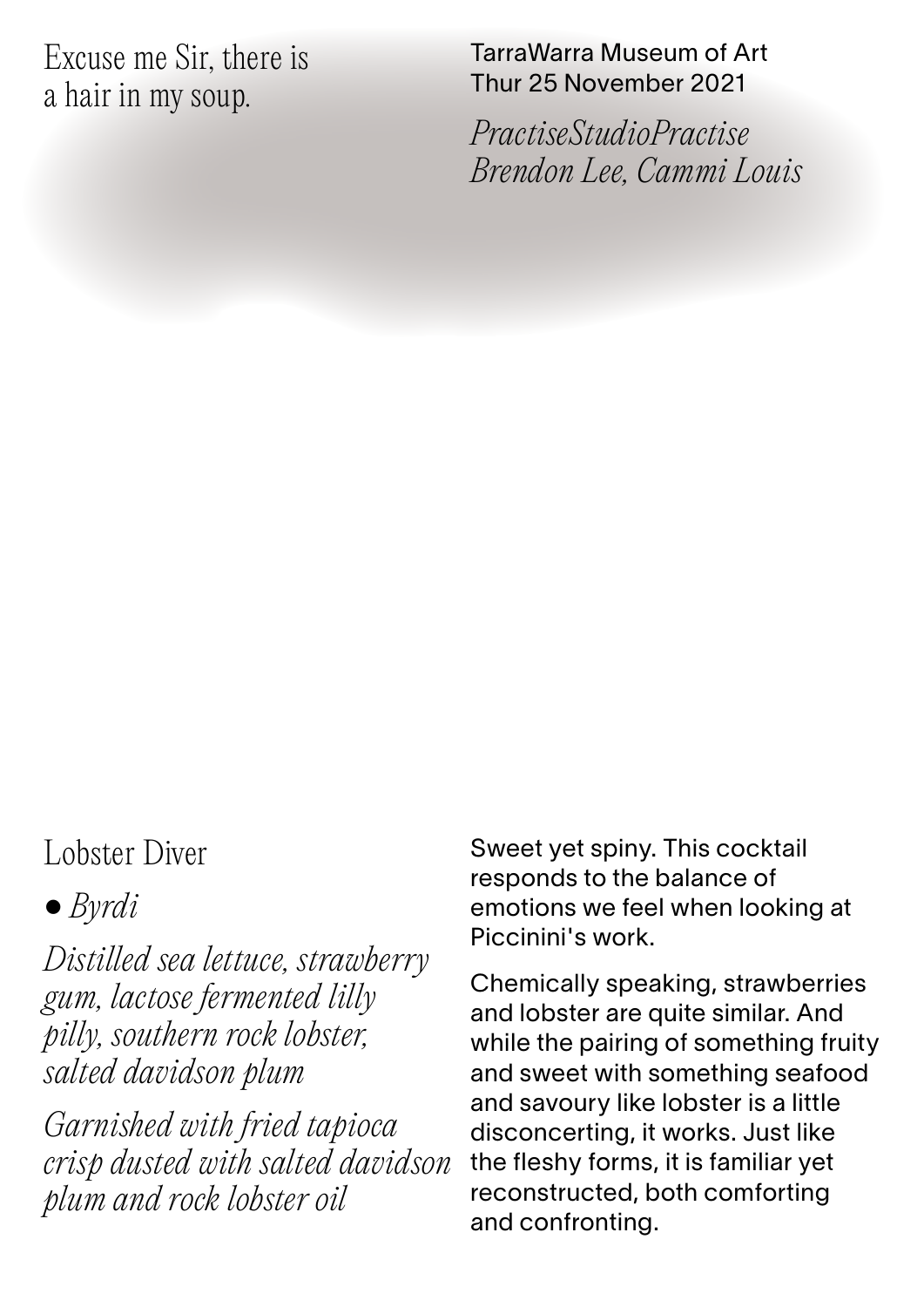Excuse me Sir, there is a hair in my soup.

TarraWarra Museum of Art Thur 25 November 2021

*PractiseStudioPractise Brendon Lee, Cammi Louis*

## Lobster Diver

• *Byrdi*

*Distilled sea lettuce, strawberry gum, lactose fermented lilly pilly, southern rock lobster, salted davidson plum*

*Garnished with fried tapioca crisp dusted with salted davidson plum and rock lobster oil*

Sweet yet spiny. This cocktail responds to the balance of emotions we feel when looking at Piccinini's work.

Chemically speaking, strawberries and lobster are quite similar. And while the pairing of something fruity and sweet with something seafood and savoury like lobster is a little disconcerting, it works. Just like the fleshy forms, it is familiar yet reconstructed, both comforting and confronting.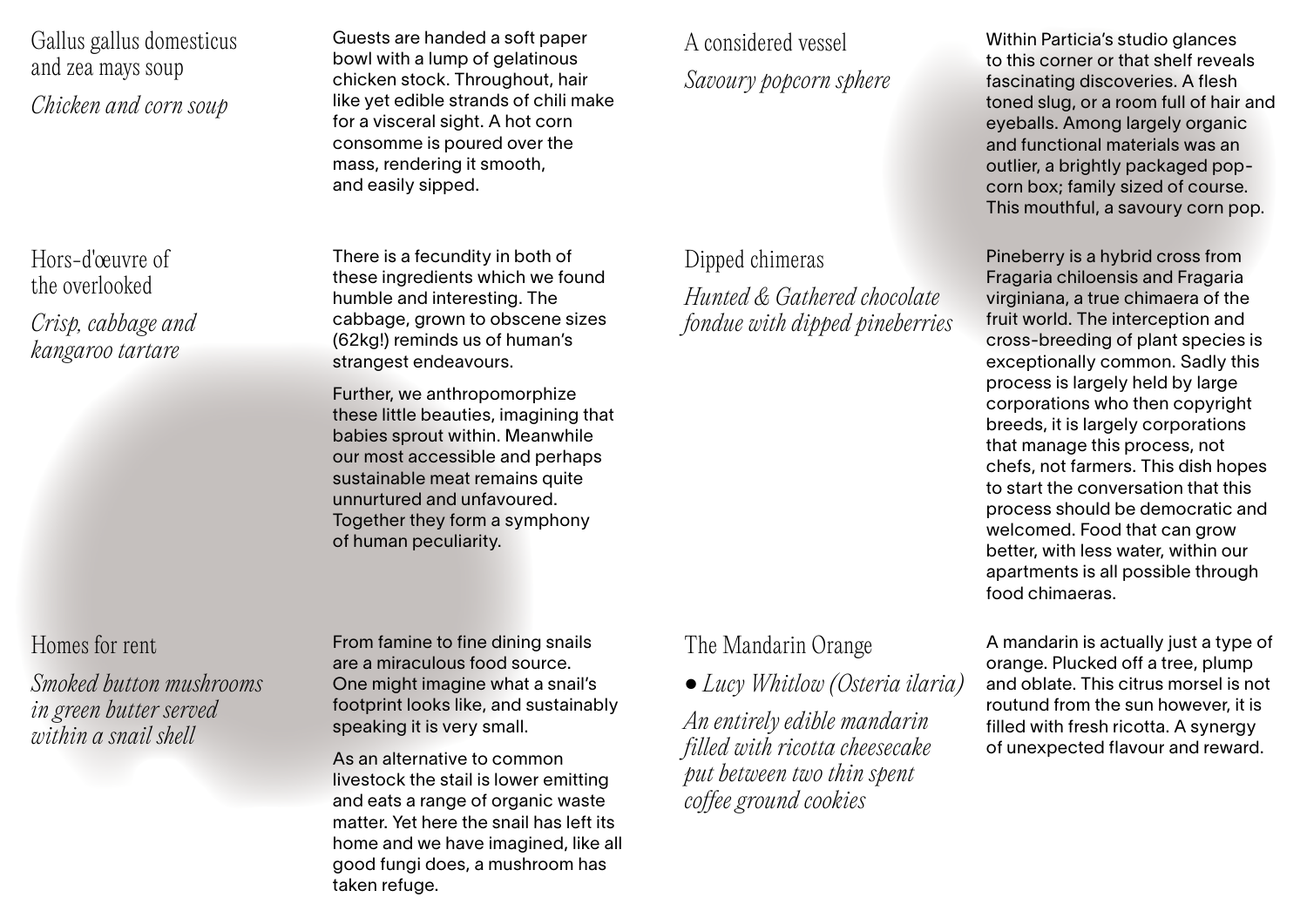Gallus gallus domesticus and zea mays soup *Chicken and corn soup*

Hors-d'œuvre of the overlooked

*Crisp, cabbage and kangaroo tartare*

## Homes for rent

*Smoked button mushrooms in green butter served within a snail shell*

Guests are handed a soft paper bowl with a lump of gelatinous chicken stock. Throughout, hair like yet edible strands of chili make for a visceral sight. A hot corn consomme is poured over the mass, rendering it smooth, and easily sipped.

There is a fecundity in both of these ingredients which we found humble and interesting. The cabbage, grown to obscene sizes (62kg!) reminds us of human's strangest endeavours.

Further, we anthropomorphize these little beauties, imagining that babies sprout within. Meanwhile our most accessible and perhaps sustainable meat remains quite unnurtured and unfavoured. Together they form a symphony of human peculiarity.

From famine to fine dining snails are a miraculous food source. One might imagine what a snail's footprint looks like, and sustainably speaking it is very small.

As an alternative to common livestock the stail is lower emitting and eats a range of organic waste matter. Yet here the snail has left its home and we have imagined, like all good fungi does, a mushroom has taken refuge.

A considered vessel *Savoury popcorn sphere*

## Dipped chimeras

The Mandarin Orange

• *Lucy Whitlow (Osteria ilaria) An entirely edible mandarin filled with ricotta cheesecake put between two thin spent coffee ground cookies*

*Hunted & Gathered chocolate fondue with dipped pineberries*

Within Particia's studio glances to this corner or that shelf reveals fascinating discoveries. A flesh toned slug, or a room full of hair and eyeballs. Among largely organic and functional materials was an outlier, a brightly packaged popcorn box; family sized of course. This mouthful, a savoury corn pop.

Pineberry is a hybrid cross from Fragaria chiloensis and Fragaria virginiana, a true chimaera of the fruit world. The interception and cross-breeding of plant species is exceptionally common. Sadly this process is largely held by large corporations who then copyright breeds, it is largely corporations that manage this process, not chefs, not farmers. This dish hopes to start the conversation that this process should be democratic and welcomed. Food that can grow better, with less water, within our apartments is all possible through food chimaeras.

A mandarin is actually just a type of orange. Plucked off a tree, plump and oblate. This citrus morsel is not routund from the sun however, it is filled with fresh ricotta. A synergy of unexpected flavour and reward.